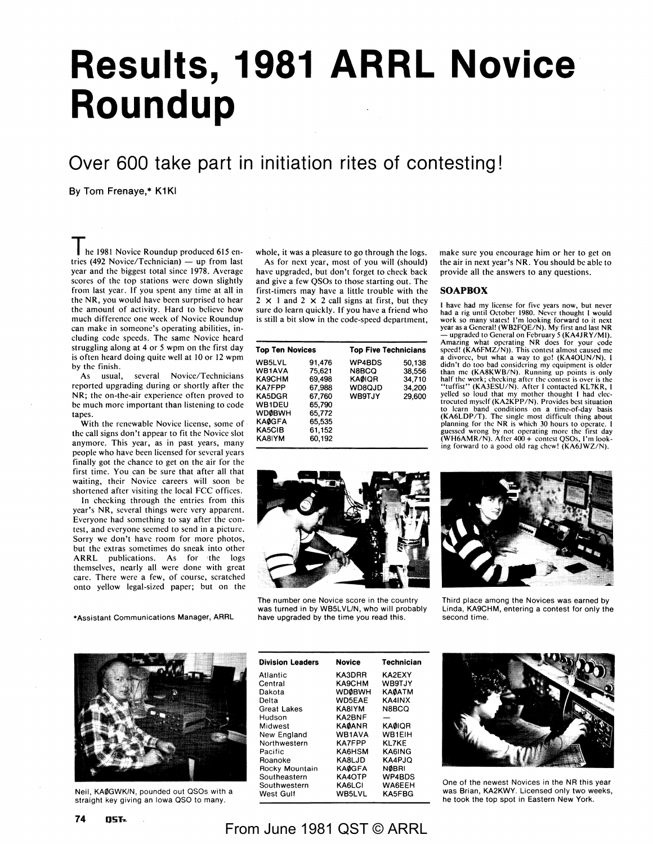# **Results, 1981 ARRL Novice Roundup**

## **Over 600 take part in initiation rites of contesting!**

**By Tom Frenaye,\* K1KI** 

**The** 1981 Novice Roundup produced 615 entries (492 Novice/Technician)  $-$  up from last year and the biggest total since 1978. Average scores of the top stations were down slightly from last year. If you spent any time at all in the **NR,** you would have been surprised to hear the amount of activity. Hard to believe how much difference one week of Novice Roundup can make in someone's operating abilities, including code speeds. The same Novice heard struggling along at 4 or 5 wpm on the first day is often heard doing quite well at 10 or 12 wpm by the finish.

As usual, several Novice/Technicians reported upgrading during or shortly after the **NR;** the on-the-air experience often proved to be much more important than listening to code tapes.

With the renewable Novice license, some of the call signs don't appear to fit the Novice slot anymore. This year, as in past years, many people who have been licensed for several years finally got the chance to get on the air for the first time. You can be sure that after all that waiting, their Novice careers will soon be shortened after visiting the local FCC offices.

In checking through the entries from this year's **NR,** several things were very apparent. Everyone had something to say after the contest, and everyone seemed to send in a picture. Sorry we don't have room for more photos, but the extras sometimes do sneak into other **ARRL** publications. As for 'the logs themselves, nearly all were done with great care. There were a few, of course, scratched onto yellow legal-sized paper; but on the

•Assistant Communications Manager, ARRL

whole, it was a pleasure to go through the logs. As for next year, most of you will (should) have upgraded, but don't forget to check back and give a few QSOs to those starting out. The first-timers may have a little trouble with the  $2 \times 1$  and  $2 \times 2$  call signs at first, but they sure do learn quickly. If you have a friend who is still a bit slow in the code-speed department,

| <b>Top Ten Novices</b> |               | <b>Top Five Technicians</b> |  |  |
|------------------------|---------------|-----------------------------|--|--|
| 91.476                 | WP4BDS        | 50,138                      |  |  |
| 75,621                 | N8BCQ         | 38,556                      |  |  |
| 69.498                 | <b>KAØIOR</b> | 34,710                      |  |  |
| 67,988                 | WD8QJD        | 34,200                      |  |  |
| 67.760                 | <b>WB9TJY</b> | 29,600                      |  |  |
| 65,790                 |               |                             |  |  |
| 65,772                 |               |                             |  |  |
| 65,535                 |               |                             |  |  |
| 61.152                 |               |                             |  |  |
| 60.192                 |               |                             |  |  |
|                        |               |                             |  |  |

make sure you encourage him or her to get on the air in next year's NR. You should be able to provide all the answers to any questions.

#### **SOAPBOX**

I have had my license for five years now, but never had a rig until October 1980. Never thought I would work so many states! I'm looking forward to it next year as a General! (WB2FQE/N). My first and last **NR**  - upgraded to General on February 5 (KA4JRY /Ml). Amazing what operating NR does for your code speed! (KA6FMZ/N)). This contest almost caused me a divorce, but what a way to go! (KA40UN/N). I didn't do too bad considering my equipment is older<br>than me (KA8KWB/N). Running up points is only<br>half the work; checking after the contest is over is the<br>"tuffist" (KA3ESU/N). After I contacted KL7KR, I<br>yelled so loud tha to learn band conditions on a time-of-day basis<br>(KA6LDP/T). The single most difficult thing about<br>planning for the NR is which 30 hours to operate. I<br>guessed wrong by not operating more the first day<br>(WH6AMR/N). After 400 ing forward to a good old rag chew! (KA6JWZ/N).



The number one Novice score in the country was turned in by WB5LVL/N, who will probably have upgraded by the time you read this.



Third place among the Novices was earned by Linda, KA9CHM, entering a contest for only the second time.



Neil, **KA0GWK/N,** pounded out QSOs with a straight key giving an Iowa QSO to many.

| <b>Division Leaders</b> | Novice        | <b>Technician</b> |
|-------------------------|---------------|-------------------|
| Atlantic                | KA3DRR        | KA2EXY            |
| Central                 | KA9CHM        | WB9TJY            |
| Dakota                  | <b>WDØBWH</b> | <b>KAØATM</b>     |
| Delta                   | <b>WD5EAE</b> | KA4INX            |
| <b>Great Lakes</b>      | KA8IYM        | N8BCO             |
| Hudson                  | <b>KA2BNF</b> |                   |
| Midwest                 | <b>KAØANR</b> | <b>KAØIOR</b>     |
| New England             | <b>WB1AVA</b> | WB1EIH            |
| Northwestern            | <b>KA7FPP</b> | KI 7KF            |
| Pacific                 | KA6HSM        | <b>KA6ING</b>     |
| Roanoke                 | KA8LJD        | KA4PJO            |
| Rocky Mountain          | <b>KAØGFA</b> | <b>NØBRI</b>      |
| Southeastern            | KA4OTP        | WP4BDS            |
| Southwestern            | KA6LCI        | WA6EEH            |
| West Gulf               | WB5LVL        | <b>KA5FBG</b>     |



One of the newest Novices in the NR this year was Brian, KA2KWY. Licensed only two weeks, he took the top spot in Eastern New York.

### From June 1981 QST © ARRL